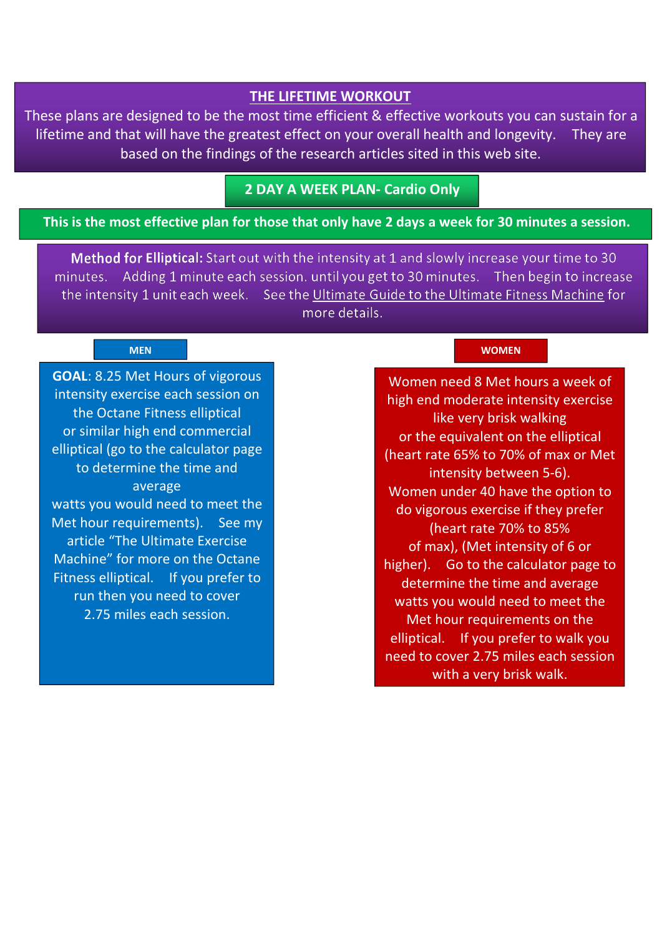#### **THE LIFETIME WORKOUT**

These plans are designed to be the most time efficient & effective workouts you can sustain for a lifetime and that will have the greatest effect on your overall health and longevity. They are based on the findings of the research articles sited in this web site.

## **2 DAY A WEEK PLAN- Cardio Only**

#### This is the most effective plan for those that only have 2 days a week for 30 minutes a session.

Method for Elliptical: Start out with the intensity at 1 and slowly increase your time to 30 minutes. Adding 1 minute each session, until you get to 30 minutes. Then begin to increase the intensity 1 unit each week. See the Ultimate Guide to the Ultimate Fitness Machine for more details.

**GOAL**: 8.25 Met Hours of vigorous intensity exercise each session on the Octane Fitness elliptical or similar high end commercial elliptical (go to the calculator page to determine the time and average watts you would need to meet the Met hour requirements). See my article "The Ultimate Exercise Machine" for more on the Octane Fitness elliptical. If you prefer to run then you need to cover 2.75 miles each session.

#### **MEN WOMEN**

Women need 8 Met hours a week of high end moderate intensity exercise like very brisk walking or the equivalent on the elliptical (heart rate 65% to 70% of max or Met intensity between 5-6). Women under 40 have the option to do vigorous exercise if they prefer (heart rate 70% to 85% of max), (Met intensity of 6 or higher). Go to the calculator page to determine the time and average watts you would need to meet the Met hour requirements on the elliptical. If you prefer to walk you need to cover 2.75 miles each session with a very brisk walk.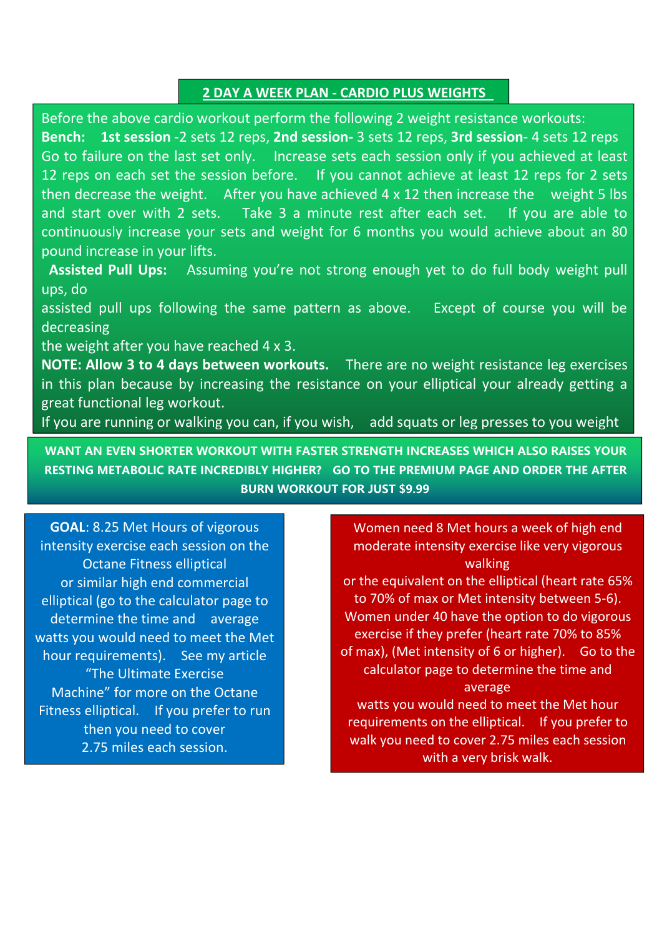## **2 DAY A WEEK PLAN - CARDIO PLUS WEIGHTS**

Before the above cardio workout perform the following 2 weight resistance workouts: **Bench: 1st session** -2 sets 12 reps, **2nd session-** 3 sets 12 reps, **3rd session**- 4 sets 12 reps Go to failure on the last set only. Increase sets each session only if you achieved at least 12 reps on each set the session before. If you cannot achieve at least 12 reps for 2 sets then decrease the weight. After you have achieved 4 x 12 then increase the weight 5 lbs and start over with 2 sets. Take 3 a minute rest after each set. If you are able to continuously increase your sets and weight for 6 months you would achieve about an 80 pound increase in your lifts.

**Assisted Pull Ups:** Assuming you're not strong enough yet to do full body weight pull ups, do

assisted pull ups following the same pattern as above. Except of course you will be decreasing

the weight after you have reached 4 x 3.

**NOTE: Allow 3 to 4 days between workouts.** There are no weight resistance leg exercises in this plan because by increasing the resistance on your elliptical your already getting a great functional leg workout.

If you are running or walking you can, if you wish, add squats or leg presses to you weight

**WANT AN EVEN SHORTER WORKOUT WITH FASTER STRENGTH INCREASES WHICH ALSO RAISES YOUR RESTING METABOLIC RATE INCREDIBLY HIGHER? GO TO THE PREMIUM PAGE AND ORDER THE AFTER BURN WORKOUT FOR JUST \$9.99**

**GOAL**: 8.25 Met Hours of vigorous intensity exercise each session on the Octane Fitness elliptical or similar high end commercial elliptical (go to the calculator page to determine the time and average watts you would need to meet the Met hour requirements). See my article "The Ultimate Exercise Machine" for more on the Octane Fitness elliptical. If you prefer to run then you need to cover 2.75 miles each session.

Women need 8 Met hours a week of high end moderate intensity exercise like very vigorous walking

or the equivalent on the elliptical (heart rate 65% to 70% of max or Met intensity between 5-6). Women under 40 have the option to do vigorous exercise if they prefer (heart rate 70% to 85% of max), (Met intensity of 6 or higher). Go to the calculator page to determine the time and average

watts you would need to meet the Met hour requirements on the elliptical. If you prefer to walk you need to cover 2.75 miles each session with a very brisk walk.